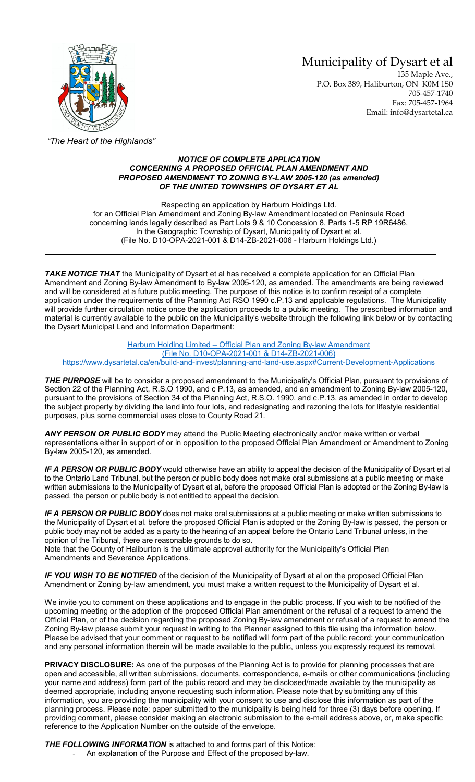Municipality of Dysart et al

135 Maple Ave., P.O. Box 389, Haliburton, ON K0M 1S0 705-457-1740 Fax: 705-457-1964 Email: info@dysartetal.ca



*"The Heart of the Highlands"*

## *NOTICE OF COMPLETE APPLICATION CONCERNING A PROPOSED OFFICIAL PLAN AMENDMENT AND PROPOSED AMENDMENT TO ZONING BY-LAW 2005-120 (as amended) OF THE UNITED TOWNSHIPS OF DYSART ET AL*

Respecting an application by Harburn Holdings Ltd. for an Official Plan Amendment and Zoning By-law Amendment located on Peninsula Road concerning lands legally described as Part Lots 9 & 10 Concession 8, Parts 1-5 RP 19R6486, In the Geographic Township of Dysart, Municipality of Dysart et al. (File No. D10-OPA-2021-001 & D14-ZB-2021-006 - Harburn Holdings Ltd.)

*TAKE NOTICE THAT* the Municipality of Dysart et al has received a complete application for an Official Plan Amendment and Zoning By-law Amendment to By-law 2005-120, as amended. The amendments are being reviewed and will be considered at a future public meeting. The purpose of this notice is to confirm receipt of a complete application under the requirements of the Planning Act RSO 1990 c.P.13 and applicable regulations. The Municipality will provide further circulation notice once the application proceeds to a public meeting. The prescribed information and material is currently available to the public on the Municipality's website through the following link below or by contacting the Dysart Municipal Land and Information Department:

Harburn Holding Limited – [Official Plan and Zoning By-law Amendment](https://www.dysartetal.ca/en/build-and-invest/planning-and-land-use.aspx#Current-Development-Applications) [\(File No. D10-OPA-2021-001 & D14-ZB-2021-006\)](https://www.dysartetal.ca/en/build-and-invest/planning-and-land-use.aspx#Current-Development-Applications) <https://www.dysartetal.ca/en/build-and-invest/planning-and-land-use.aspx#Current-Development-Applications>

*THE PURPOSE* will be to consider a proposed amendment to the Municipality's Official Plan, pursuant to provisions of Section 22 of the Planning Act, R.S.O 1990, and c P.13, as amended, and an amendment to Zoning By-law 2005-120, pursuant to the provisions of Section 34 of the Planning Act, R.S.O. 1990, and c.P.13, as amended in order to develop the subject property by dividing the land into four lots, and redesignating and rezoning the lots for lifestyle residential purposes, plus some commercial uses close to County Road 21.

*ANY PERSON OR PUBLIC BODY* may attend the Public Meeting electronically and/or make written or verbal representations either in support of or in opposition to the proposed Official Plan Amendment or Amendment to Zoning By-law 2005-120, as amended.

*IF A PERSON OR PUBLIC BODY* would otherwise have an ability to appeal the decision of the Municipality of Dysart et al to the Ontario Land Tribunal, but the person or public body does not make oral submissions at a public meeting or make written submissions to the Municipality of Dysart et al, before the proposed Official Plan is adopted or the Zoning By-law is passed, the person or public body is not entitled to appeal the decision.

*IF A PERSON OR PUBLIC BODY* does not make oral submissions at a public meeting or make written submissions to the Municipality of Dysart et al, before the proposed Official Plan is adopted or the Zoning By-law is passed, the person or public body may not be added as a party to the hearing of an appeal before the Ontario Land Tribunal unless, in the opinion of the Tribunal, there are reasonable grounds to do so.

Note that the County of Haliburton is the ultimate approval authority for the Municipality's Official Plan Amendments and Severance Applications.

*IF YOU WISH TO BE NOTIFIED* of the decision of the Municipality of Dysart et al on the proposed Official Plan Amendment or Zoning by-law amendment, you must make a written request to the Municipality of Dysart et al.

We invite you to comment on these applications and to engage in the public process. If you wish to be notified of the upcoming meeting or the adoption of the proposed Official Plan amendment or the refusal of a request to amend the Official Plan, or of the decision regarding the proposed Zoning By-law amendment or refusal of a request to amend the Zoning By-law please submit your request in writing to the Planner assigned to this file using the information below. Please be advised that your comment or request to be notified will form part of the public record; your communication and any personal information therein will be made available to the public, unless you expressly request its removal.

**PRIVACY DISCLOSURE:** As one of the purposes of the Planning Act is to provide for planning processes that are open and accessible, all written submissions, documents, correspondence, e-mails or other communications (including your name and address) form part of the public record and may be disclosed/made available by the municipality as deemed appropriate, including anyone requesting such information. Please note that by submitting any of this information, you are providing the municipality with your consent to use and disclose this information as part of the planning process. Please note: paper submitted to the municipality is being held for three (3) days before opening. If providing comment, please consider making an electronic submission to the e-mail address above, or, make specific reference to the Application Number on the outside of the envelope.

*THE FOLLOWING INFORMATION* is attached to and forms part of this Notice:

An explanation of the Purpose and Effect of the proposed by-law.